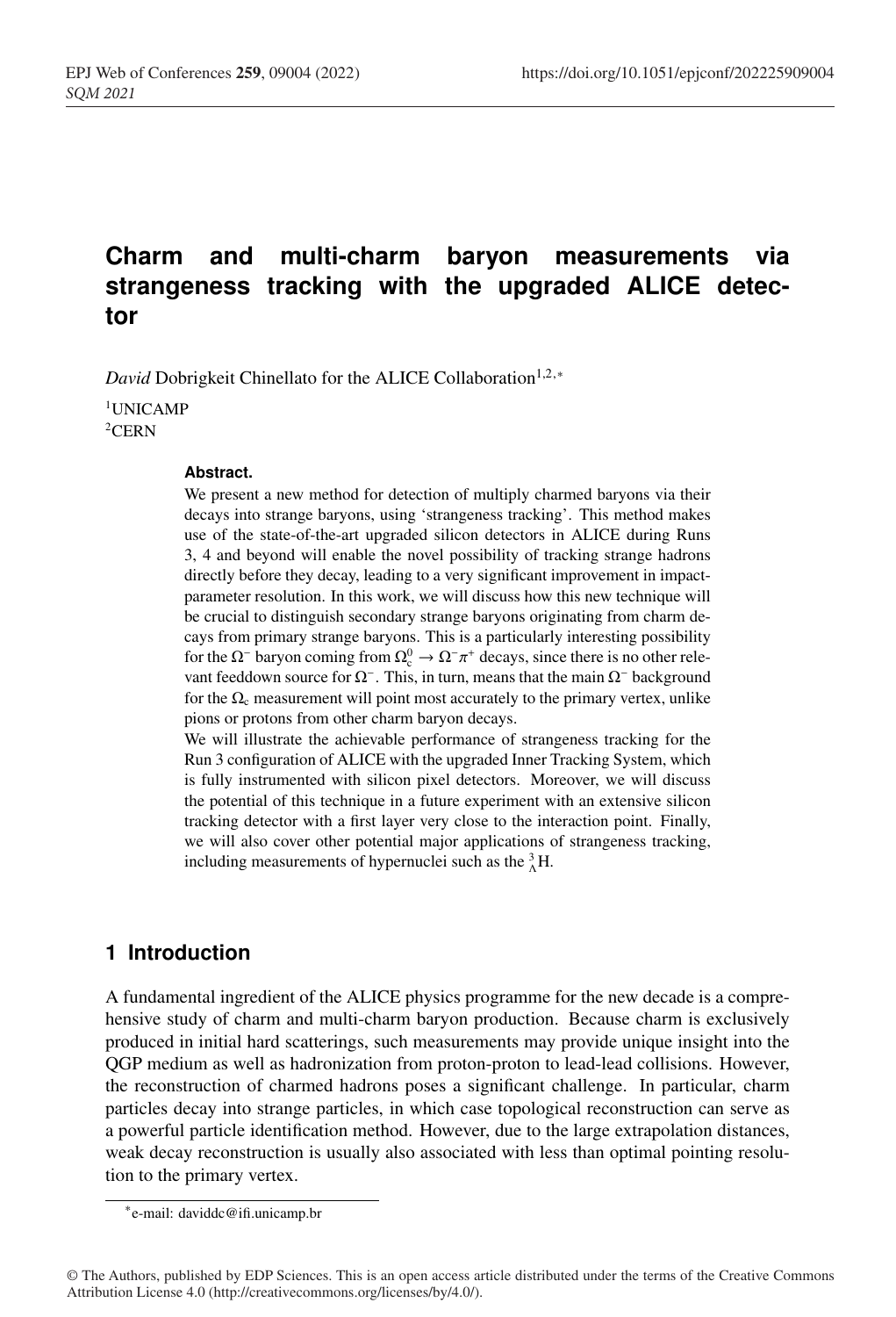# **Charm and multi-charm baryon measurements via strangeness tracking with the upgraded ALICE detector**

*David* Dobrigkeit Chinellato for the ALICE Collaboration<sup>1,2,∗</sup>

<sup>1</sup>UNICAMP 2CERN

#### **Abstract.**

We present a new method for detection of multiply charmed baryons via their decays into strange baryons, using 'strangeness tracking'. This method makes use of the state-of-the-art upgraded silicon detectors in ALICE during Runs 3, 4 and beyond will enable the novel possibility of tracking strange hadrons directly before they decay, leading to a very significant improvement in impactparameter resolution. In this work, we will discuss how this new technique will be crucial to distinguish secondary strange baryons originating from charm decays from primary strange baryons. This is a particularly interesting possibility for the  $\Omega$ <sup>-</sup> baryon coming from  $\Omega_c^0 \to \Omega^- \pi^+$  decays, since there is no other relevant feeddown source for  $\Omega$ <sup>−</sup>. This, in turn, means that the main  $\Omega$ <sup>−</sup> background for the  $\Omega_c$  measurement will point most accurately to the primary vertex, unlike pions or protons from other charm baryon decays.

We will illustrate the achievable performance of strangeness tracking for the Run 3 configuration of ALICE with the upgraded Inner Tracking System, which is fully instrumented with silicon pixel detectors. Moreover, we will discuss the potential of this technique in a future experiment with an extensive silicon tracking detector with a first layer very close to the interaction point. Finally, we will also cover other potential major applications of strangeness tracking, including measurements of hypernuclei such as the  ${}^{3}_{\Lambda}$ H.

# **1 Introduction**

A fundamental ingredient of the ALICE physics programme for the new decade is a comprehensive study of charm and multi-charm baryon production. Because charm is exclusively produced in initial hard scatterings, such measurements may provide unique insight into the QGP medium as well as hadronization from proton-proton to lead-lead collisions. However, the reconstruction of charmed hadrons poses a significant challenge. In particular, charm particles decay into strange particles, in which case topological reconstruction can serve as a powerful particle identification method. However, due to the large extrapolation distances, weak decay reconstruction is usually also associated with less than optimal pointing resolution to the primary vertex.

<sup>∗</sup>e-mail: daviddc@ifi.unicamp.br

<sup>©</sup> The Authors, published by EDP Sciences. This is an open access article distributed under the terms of the Creative Commons Attribution License 4.0 (http://creativecommons.org/licenses/by/4.0/).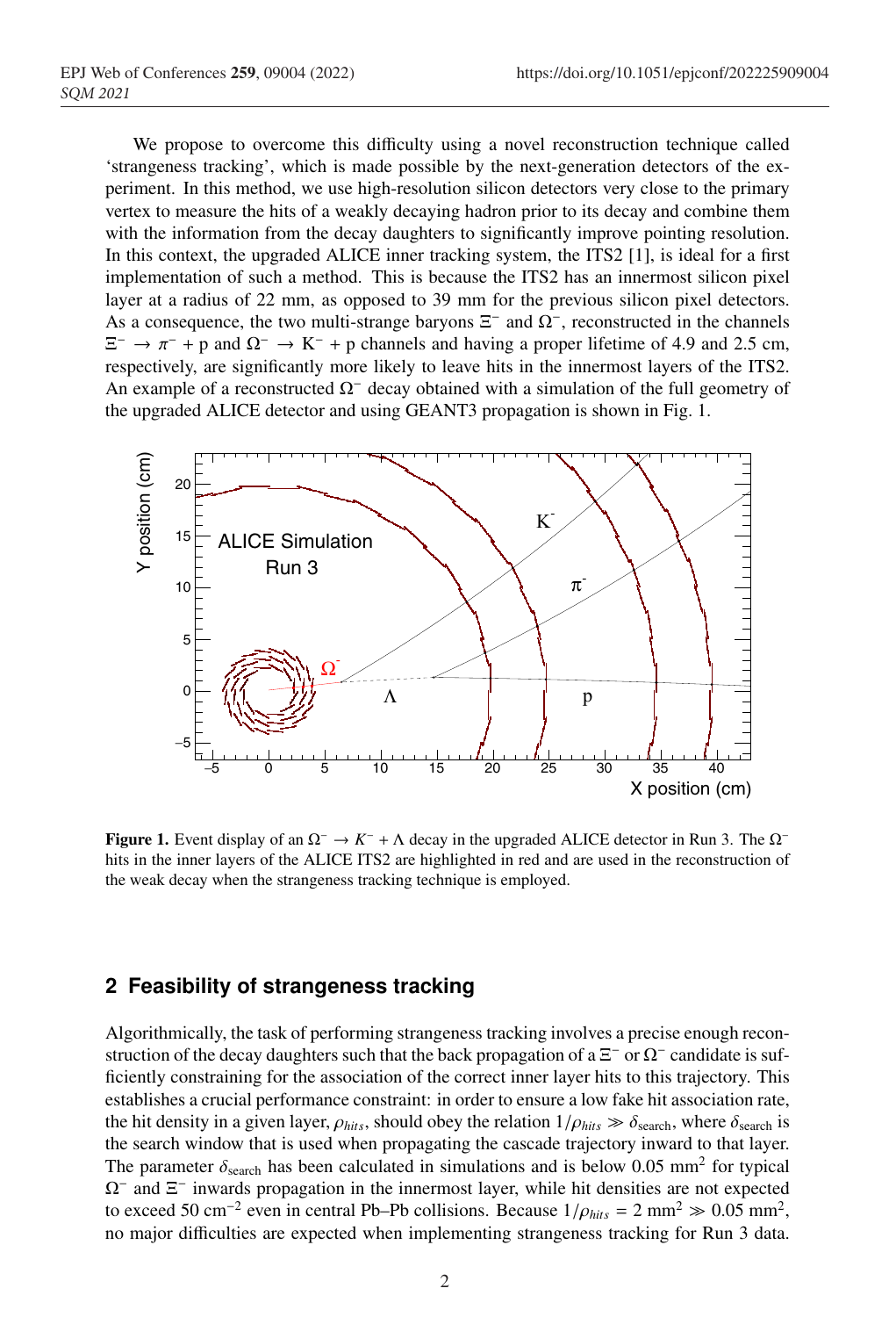We propose to overcome this difficulty using a novel reconstruction technique called 'strangeness tracking', which is made possible by the next-generation detectors of the experiment. In this method, we use high-resolution silicon detectors very close to the primary vertex to measure the hits of a weakly decaying hadron prior to its decay and combine them with the information from the decay daughters to significantly improve pointing resolution. In this context, the upgraded ALICE inner tracking system, the ITS2 [1], is ideal for a first implementation of such a method. This is because the ITS2 has an innermost silicon pixel layer at a radius of 22 mm, as opposed to 39 mm for the previous silicon pixel detectors. As a consequence, the two multi-strange baryons  $\Xi^-$  and  $\Omega^-$ , reconstructed in the channels  $\Xi^-$  →  $\pi^-$  + p and  $\Omega^-$  → K<sup>-</sup> + p channels and having a proper lifetime of 4.9 and 2.5 cm, respectively, are significantly more likely to leave hits in the innermost layers of the ITS2. An example of a reconstructed  $\Omega$ <sup>-</sup> decay obtained with a simulation of the full geometry of the upgraded ALICE detector and using GEANT3 propagation is shown in Fig. 1.



Figure 1. Event display of an  $\Omega^-$  →  $K^-$  +  $\Lambda$  decay in the upgraded ALICE detector in Run 3. The  $\Omega^$ hits in the inner layers of the ALICE ITS2 are highlighted in red and are used in the reconstruction of the weak decay when the strangeness tracking technique is employed.

## **2 Feasibility of strangeness tracking**

Algorithmically, the task of performing strangeness tracking involves a precise enough reconstruction of the decay daughters such that the back propagation of a  $\Xi^-$  or  $\Omega^-$  candidate is sufficiently constraining for the association of the correct inner layer hits to this trajectory. This establishes a crucial performance constraint: in order to ensure a low fake hit association rate, the hit density in a given layer,  $\rho_{hits}$ , should obey the relation  $1/\rho_{hits} \gg \delta_{search}$ , where  $\delta_{search}$  is the search window that is used when propagating the cascade trajectory inward to that layer. The parameter  $\delta_{\text{search}}$  has been calculated in simulations and is below 0.05 mm<sup>2</sup> for typical  $\Omega$ <sup>−</sup> and  $\Xi$ <sup>−</sup> inwards propagation in the innermost layer, while hit densities are not expected to exceed 50 cm<sup>-2</sup> even in central Pb–Pb collisions. Because  $1/\rho_{hits} = 2 \text{ mm}^2 \gg 0.05 \text{ mm}^2$ , no major difficulties are expected when implementing strangeness tracking for Run 3 data.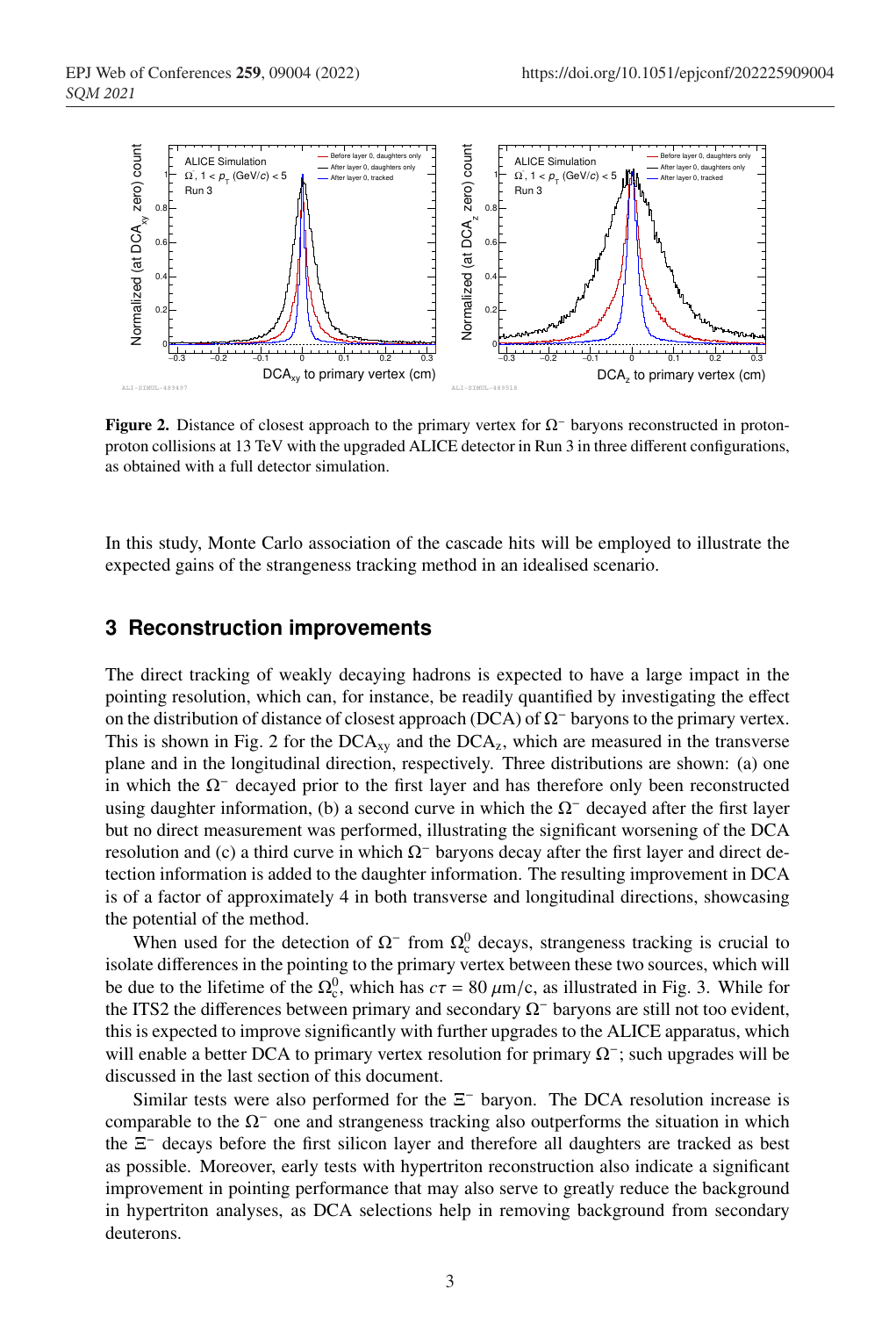

Figure 2. Distance of closest approach to the primary vertex for  $\Omega$ <sup>−</sup> baryons reconstructed in protonproton collisions at 13 TeV with the upgraded ALICE detector in Run 3 in three different configurations, as obtained with a full detector simulation.

In this study, Monte Carlo association of the cascade hits will be employed to illustrate the expected gains of the strangeness tracking method in an idealised scenario.

#### **3 Reconstruction improvements**

The direct tracking of weakly decaying hadrons is expected to have a large impact in the pointing resolution, which can, for instance, be readily quantified by investigating the effect on the distribution of distance of closest approach (DCA) of  $\Omega$ <sup>−</sup> baryons to the primary vertex. This is shown in Fig. 2 for the  $DCA_{xy}$  and the  $DCA_{z}$ , which are measured in the transverse plane and in the longitudinal direction, respectively. Three distributions are shown: (a) one in which the  $\Omega$ <sup>−</sup> decayed prior to the first layer and has therefore only been reconstructed using daughter information, (b) a second curve in which the  $\Omega$ <sup>−</sup> decayed after the first layer but no direct measurement was performed, illustrating the significant worsening of the DCA resolution and (c) a third curve in which  $\Omega$ <sup>−</sup> baryons decay after the first layer and direct detection information is added to the daughter information. The resulting improvement in DCA is of a factor of approximately 4 in both transverse and longitudinal directions, showcasing the potential of the method.

When used for the detection of  $\Omega$ <sup>-</sup> from  $\Omega$ <sup>0</sup> decays, strangeness tracking is crucial to isolate differences in the pointing to the primary vertex between these two sources, which will be due to the lifetime of the  $\Omega_c^0$ , which has  $c\tau = 80 \ \mu m/c$ , as illustrated in Fig. 3. While for the ITS2 the differences between primary and secondary Ω<sup>−</sup> baryons are still not too evident, this is expected to improve significantly with further upgrades to the ALICE apparatus, which will enable a better DCA to primary vertex resolution for primary  $\Omega^-$ ; such upgrades will be discussed in the last section of this document.

Similar tests were also performed for the  $\Xi^-$  baryon. The DCA resolution increase is comparable to the  $\Omega$ <sup>−</sup> one and strangeness tracking also outperforms the situation in which the Ξ<sup>−</sup> decays before the first silicon layer and therefore all daughters are tracked as best as possible. Moreover, early tests with hypertriton reconstruction also indicate a significant improvement in pointing performance that may also serve to greatly reduce the background in hypertriton analyses, as DCA selections help in removing background from secondary deuterons.